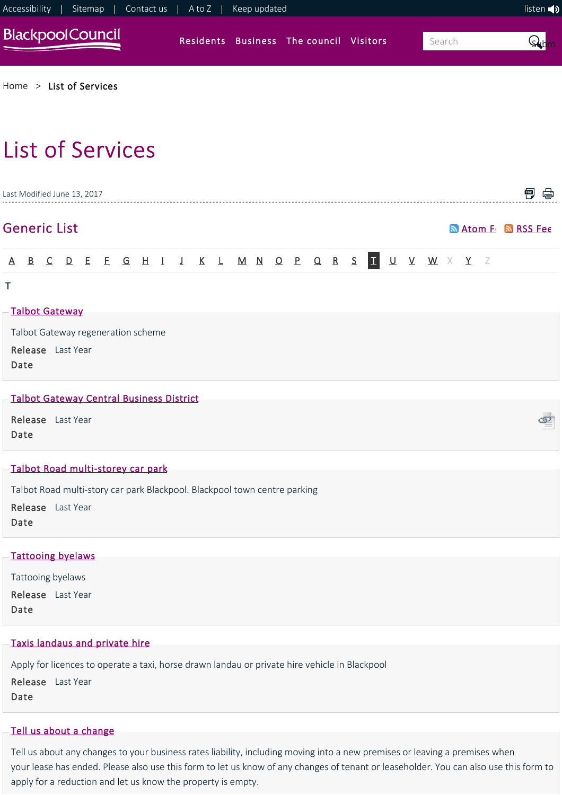

Release Last Year Date

# [Taxis landaus and private hire](https://www.blackpool.gov.uk/Business/Licensing-and-permits/Taxis-landaus-and-private-hire/Taxis-landaus-and-private-hire.aspx)

Apply for licences to operate a taxi, horse drawn landau or private hire vehicle in Blackpool Release Last Year Date

# [Tell us about a change](https://www.blackpool.gov.uk/Business/Business-rates/Tell-us-about-a-change.aspx)

Tell us about any changes to your business rates liability, including moving into a new premises or leaving a premises when your lease has ended. Please also use this form to let us know of any changes of tenant or leaseholder. You can also use this form to apply for a reduction and let us know the property is empty.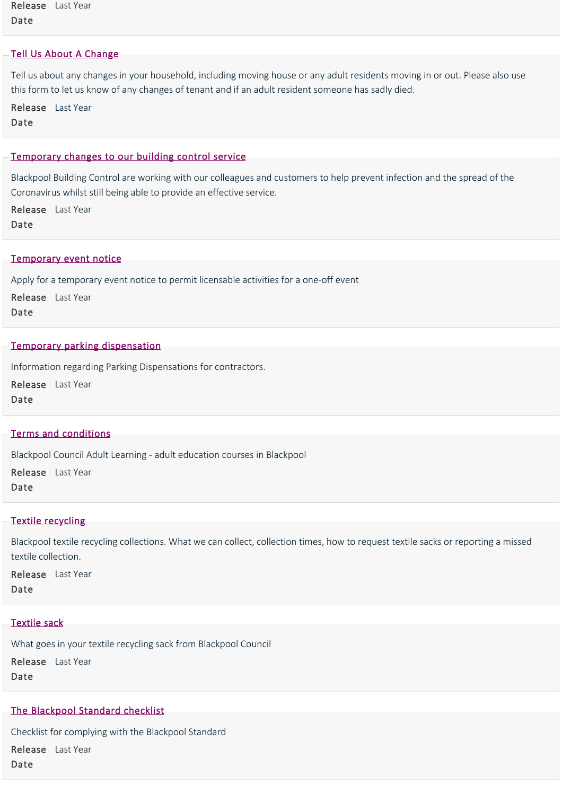Release Last Year Date

## [Tell Us About A Change](https://www.blackpool.gov.uk/Residents/Council-tax/Change-your-address-details.aspx)

Tell us about any changes in your household, including moving house or any adult residents moving in or out. Please also use this form to let us know of any changes of tenant and if an adult resident someone has sadly died.

Release Last Year Date

#### [Temporary changes to our building control service](https://www.blackpool.gov.uk/Residents/Planning-environment-and-community/Building-control/Covid-19-update.aspx)

Blackpool Building Control are working with our colleagues and customers to help prevent infection and the spread of the Coronavirus whilst still being able to provide an effective service.

Release Last Year Date

#### [Temporary event notice](https://www.blackpool.gov.uk/Business/Licensing-and-permits/Alcohol-entertainment-and-food-licences/Temporary-event-notice.aspx)

Apply for a temporary event notice to permit licensable activities for a one‐off event

Release Last Year Date

## [Temporary parking dispensation](https://www.blackpool.gov.uk/Residents/Parking-roads-and-transport/Parking/Temporary-parking-dispensation.aspx)

Information regarding Parking Dispensations for contractors.

Release Last Year Date

## [Terms and conditions](https://www.blackpool.gov.uk/Residents/Education-and-schools/Adult-Learning/Terms-and-conditions.aspx)

Blackpool Council Adult Learning ‐ adult education courses in Blackpool

Release Last Year Date

#### [Textile recycling](https://www.blackpool.gov.uk/Residents/Waste-and-recycling/Bin-collections/Textile-recycling.aspx)

Blackpool textile recycling collections. What we can collect, collection times, how to request textile sacks or reporting a missed textile collection.

Release Last Year Date

#### [Textile sack](https://www.blackpool.gov.uk/Residents/Waste-and-recycling/Bin-collections/What-goes-in-my-bin/Textile-sack.aspx)

What goes in your textile recycling sack from Blackpool Council

Release Last Year Date

## [The Blackpool Standard checklist](https://www.blackpool.gov.uk/Business/Licensing-and-permits/Housing-licences/Selective-licensing/The-Blackpool-Standard-checklist.aspx)

Checklist for complying with the Blackpool Standard

Release Last YearDate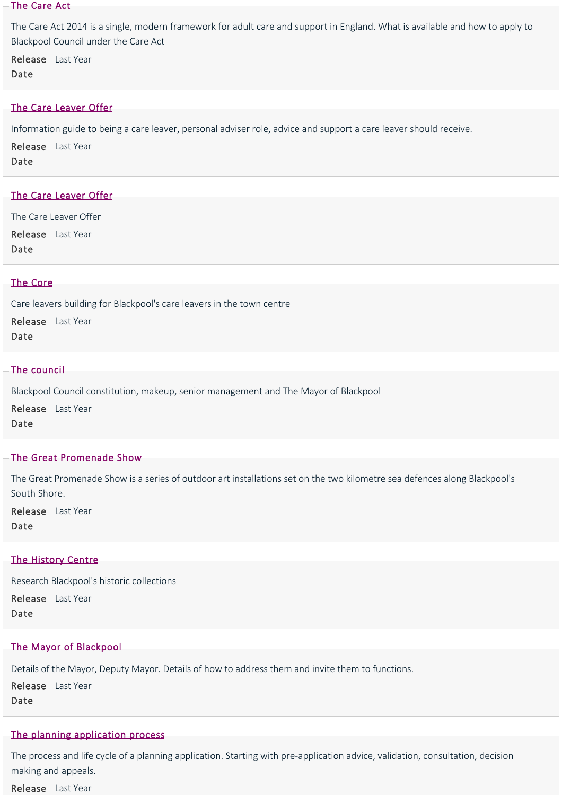#### [The Care Act](https://www.blackpool.gov.uk/Residents/Health-and-social-care/Social-care-for-adults/Adult-social-services/The-Care-Act.aspx)

The Care Act 2014 is a single, modern framework for adult care and support in England. What is available and how to apply to Blackpool Council under the Care Act

Release Last Year

Date

# [The Care Leaver Offer](https://www.blackpool.gov.uk/Residents/Health-and-social-care/Children-and-families/JustUz/News/The-Care-Leaver-Offer.aspx)

Information guide to being a care leaver, personal adviser role, advice and support a care leaver should receive.

Release Last Year Date

# [The Care Leaver Offer](https://www.blackpool.gov.uk/Residents/Health-and-social-care/Children-and-families/JustUz/Leaving-Care/The-Care-Leaver-Offer.aspx)

The Care Leaver Offer

Release Last Year

Date

## [The Core](https://www.blackpool.gov.uk/Residents/Health-and-social-care/Children-and-families/JustUz/The-Core.aspx)

Care leavers building for Blackpool's care leavers in the town centre

Release Last Year

Date

## [The council](https://www.blackpool.gov.uk/Your-Council/The-Council/The-Council.aspx)

Blackpool Council constitution, makeup, senior management and The Mayor of Blackpool

Release Last Year Date

## [The Great Promenade Show](https://www.blackpool.gov.uk/Residents/Libraries-arts-and-heritage/Arts/The-Great-Promenade-Show.aspx)

The Great Promenade Show is a series of outdoor art installations set on the two kilometre sea defences along Blackpool's South Shore.

Release Last Year Date

## [The History Centre](https://www.blackpool.gov.uk/Residents/Libraries-arts-and-heritage/Blackpool-heritage/Collection-and-archive/History-centre.aspx)

Research Blackpool's historic collections

Release Last Year Date

# [The Mayor of Blackpool](https://www.blackpool.gov.uk/Your-Council/The-Council/The-Mayor/The-Mayor-of-Blackpool.aspx)

Details of the Mayor, Deputy Mayor. Details of how to address them and invite them to functions.

Release Last Year Date

# [The planning application process](https://www.blackpool.gov.uk/Residents/Planning-environment-and-community/Planning/Planning-applications/The-planning-application-process.aspx)

The process and life cycle of a planning application. Starting with pre‐application advice, validation, consultation, decision making and appeals.

Release Last Year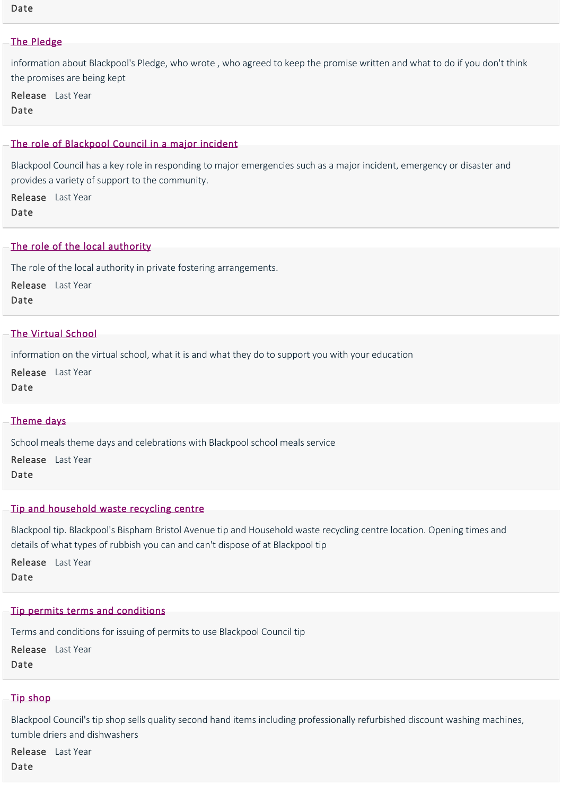#### Date

#### [The Pledge](https://www.blackpool.gov.uk/Residents/Health-and-social-care/Children-and-families/JustUz/About-us/The-Pledge.aspx)

information about Blackpool's Pledge, who wrote , who agreed to keep the promise written and what to do if you don't think the promises are being kept

Release Last Year Date

#### [The role of Blackpool Council in a major incident](https://www.blackpool.gov.uk/Residents/Advice-and-support/Civil-contingencies-and-emergencies/The-role-of-Blackpool-Council-in-a-major-incident.aspx)

Blackpool Council has a key role in responding to major emergencies such as a major incident, emergency or disaster and provides a variety of support to the community.

Release Last Year Date

## [The role of the local authority](https://www.blackpool.gov.uk/Residents/Health-and-social-care/Children-and-families/Childrens-social-care/The-role-of-the-local-authority.aspx)

The role of the local authority in private fostering arrangements.

Release Last Year

Date

#### [The Virtual School](https://www.blackpool.gov.uk/Residents/Health-and-social-care/Children-and-families/JustUz/Your-Education/The-Virtual-School.aspx)

information on the virtual school, what it is and what they do to support you with your education

Release Last Year

Date

#### [Theme days](https://www.blackpool.gov.uk/Business/Working-with-the-council/Education-and-schools/School-meals-service/Food-theme-days.aspx)

School meals theme days and celebrations with Blackpool school meals service Release Last Year Date

## [Tip and household waste recycling centre](https://www.blackpool.gov.uk/Residents/Waste-and-recycling/Tip-and-household-waste-recycling-centre/Tip-and-household-waste-recycling-centre.aspx)

Blackpool tip. Blackpool's Bispham Bristol Avenue tip and Household waste recycling centre location. Opening times and details of what types of rubbish you can and can't dispose of at Blackpool tip

Release Last Year Date

#### [Tip permits terms and conditions](https://www.blackpool.gov.uk/Residents/Waste-and-recycling/Tip-and-household-waste-recycling-centre/Tip-permits-terms-and-conditions.aspx)

Terms and conditions for issuing of permits to use Blackpool Council tip

Release Last Year Date

# [Tip shop](https://www.blackpool.gov.uk/Residents/Waste-and-recycling/Tip-and-household-waste-recycling-centre/Tip-shop.aspx)

Blackpool Council's tip shop sells quality second hand items including professionally refurbished discount washing machines, tumble driers and dishwashers

Release Last YearDate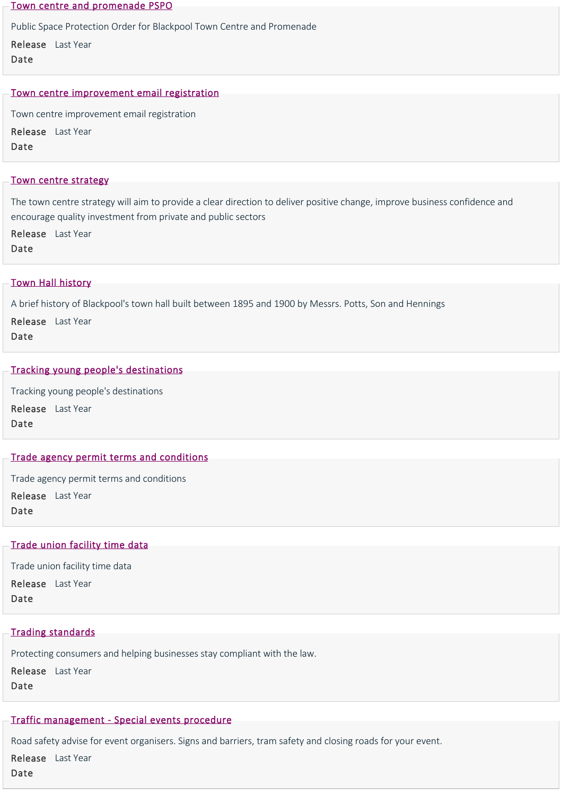[Town centre and promenade PSPO](https://www.blackpool.gov.uk/Residents/Planning-environment-and-community/Crime-and-safety/Public-space-protection-orders/Town-centre-and-promenade.aspx)

Public Space Protection Order for Blackpool Town Centre and Promenade

Release Last Year

Date

#### [Town centre improvement email registration](https://www.blackpool.gov.uk/Your-Council/Creating-a-better-Blackpool/Forms/Town-centre-improvement-email-registration.aspx)

Town centre improvement email registration

Release Last Year Date

#### [Town centre strategy](https://www.blackpool.gov.uk/Residents/Planning-environment-and-community/Planning/Planning-policy/Town-centre-strategy.aspx)

The town centre strategy will aim to provide a clear direction to deliver positive change, improve business confidence and encourage quality investment from private and public sectors

Release Last Year Date

## [Town Hall history](https://www.blackpool.gov.uk/Your-Council/The-Council/The-Mayor/Town-Hall-history.aspx)

A brief history of Blackpool's town hall built between 1895 and 1900 by Messrs. Potts, Son and Hennings

Release Last Year

Date

## [Tracking young people's destinations](https://www.blackpool.gov.uk/Residents/Education-and-schools/Information-for-parents-and-carers/Tracking-young-people)

Tracking young people's destinations Release Last Year Date

## [Trade agency permit terms and conditions](https://www.blackpool.gov.uk/Residents/Parking-roads-and-transport/Parking/Parking-permits/Virtual-Trade-agency-permit-terms-and-conditions.aspx)

Trade agency permit terms and conditions Release Last Year Date

## [Trade union facility time data](https://www.blackpool.gov.uk/Your-Council/Transparency-and-open-data/Trade-union-facility-time-data.aspx)

Trade union facility time data

Release Last Year

Date

## [Trading standards](https://www.blackpool.gov.uk/Business/Business-support-and-advice/Trading-standards.aspx)

Protecting consumers and helping businesses stay compliant with the law.

Release Last Year Date

# [Traffic management ‐ Special events procedure](https://www.blackpool.gov.uk/Business/Working-with-the-council/Organising-an-event/Advice-and-guidance/Traffic-management---Special-events-procedure.aspx)

Road safety advise for event organisers. Signs and barriers, tram safety and closing roads for your event.

Release Last Year

Date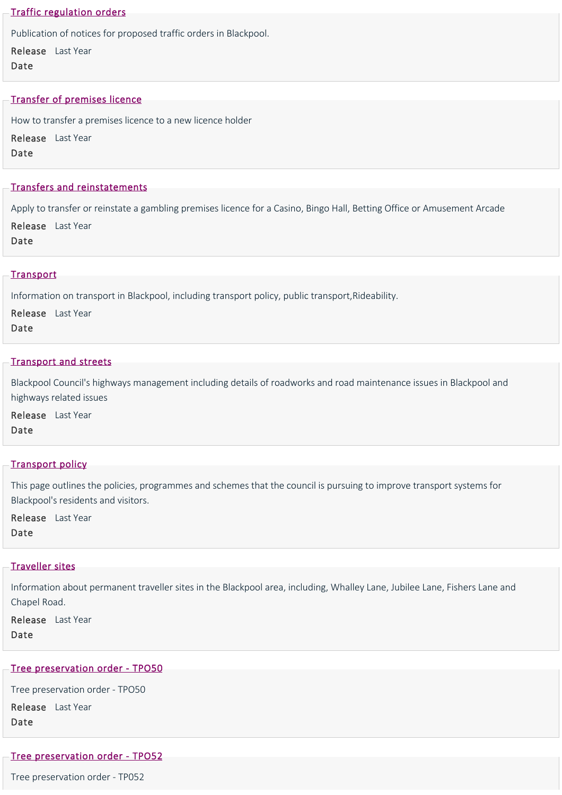#### [Traffic regulation orders](https://www.blackpool.gov.uk/Residents/Parking-roads-and-transport/Traffic-regulation-orders/Traffic-regulation-orders.aspx)

Publication of notices for proposed traffic orders in Blackpool.

Release Last Year Date

#### [Transfer of premises licence](https://www.blackpool.gov.uk/Business/Licensing-and-permits/Alcohol-entertainment-and-food-licences/Premises-licences/Transfer-of-premises-licence.aspx)

How to transfer a premises licence to a new licence holder

Release Last Year Date

#### [Transfers and reinstatements](https://www.blackpool.gov.uk/Business/Licensing-and-permits/Gambling-licences/Premises-licences/Transfers-and-reinstatements.aspx)

Apply to transfer or reinstate a gambling premises licence for a Casino, Bingo Hall, Betting Office or Amusement Arcade Release Last Year

Date

#### **[Transport](https://www.blackpool.gov.uk/Residents/Parking-roads-and-transport/Transport/Transport.aspx)**

Information on transport in Blackpool, including transport policy, public transport,Rideability.

Release Last Year Date

#### [Transport and streets](https://www.blackpool.gov.uk/Residents/Parking-roads-and-transport/Roadworks-and-road-maintenance/Transport-and-streets.aspx)

Blackpool Council's highways management including details of roadworks and road maintenance issues in Blackpool and highways related issues

Release Last Year Date

## [Transport policy](https://www.blackpool.gov.uk/Residents/Parking-roads-and-transport/Transport/Transport-policy.aspx)

This page outlines the policies, programmes and schemes that the council is pursuing to improve transport systems for Blackpool's residents and visitors.

Release Last Year Date

#### [Traveller sites](https://www.blackpool.gov.uk/Residents/Planning-environment-and-community/Environmental/Traveller-sites.aspx)

Information about permanent traveller sites in the Blackpool area, including, Whalley Lane, Jubilee Lane, Fishers Lane and Chapel Road.

Release Last Year Date

# [Tree preservation order ‐ TPO50](https://www.blackpool.gov.uk/Residents/Planning-environment-and-community/Planning/Conservation/Tree-preservation-orders/Tree-preservation-order-TPO50.aspx)

Tree preservation order ‐ TPO50

Release Last Year Date

#### [Tree preservation order ‐ TPO52](https://www.blackpool.gov.uk/Residents/Planning-environment-and-community/Planning/Conservation/Tree-preservation-orders/Tree-preservation-order-TP052.aspx)

Tree preservation order ‐ TP052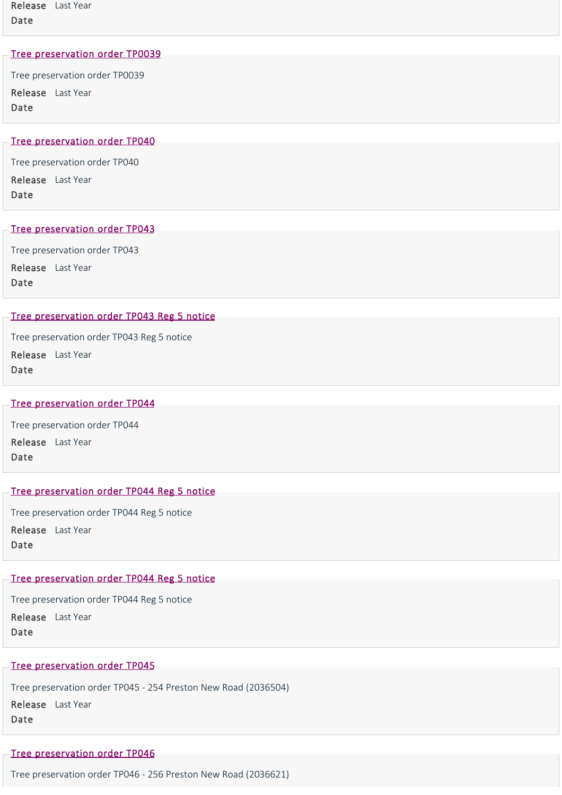#### [Tree preservation order TP0039](https://www.blackpool.gov.uk/Residents/Planning-environment-and-community/Planning/Conservation/Tree-preservation-orders/Tree-preservation-order-TP0039.aspx)

Tree preservation order TP0039 Release Last Year Date

#### [Tree preservation order TP040](https://www.blackpool.gov.uk/Residents/Planning-environment-and-community/Planning/Conservation/Tree-preservation-orders/Tree-preservation-order-TP040.aspx)

Tree preservation order TP040 Release Last Year Date

# [Tree preservation order TP043](https://www.blackpool.gov.uk/Residents/Planning-environment-and-community/Planning/Conservation/Tree-preservation-orders/Tree-preservation-order-TP043.aspx)

Tree preservation order TP043 Release Last Year Date

## [Tree preservation order TP043 Reg 5 notice](https://www.blackpool.gov.uk/Residents/Planning-environment-and-community/Planning/Conservation/Tree-preservation-orders/Tree-preservation-order-TP043-Reg-5-notice.aspx)

Tree preservation order TP043 Reg 5 notice

Release Last Year Date

#### [Tree preservation order TP044](https://www.blackpool.gov.uk/Residents/Planning-environment-and-community/Planning/Conservation/Tree-preservation-orders/Tree-preservation-order-TP044.aspx)

Tree preservation order TP044 Release Last Year Date

# [Tree preservation order TP044 Reg 5 notice](https://www.blackpool.gov.uk/Residents/Planning-environment-and-community/Planning/Conservation/Tree-preservation-orders/Tree-preservation-order-TP044-Reg-5-notice.aspx)

Tree preservation order TP044 Reg 5 notice Release Last Year Date

## [Tree preservation order TP044 Reg 5 notice](https://www.blackpool.gov.uk/Residents/Planning-environment-and-community/Planning/Conservation/Tree-preservation-orders/Tree-preservation-order-TP051-Reg-5-notice.aspx)

Tree preservation order TP044 Reg 5 notice

Release Last Year Date

## [Tree preservation order TP045](https://www.blackpool.gov.uk/Residents/Planning-environment-and-community/Planning/Conservation/Tree-preservation-orders/Tree-preservation-order-TP045.aspx)

Tree preservation order TP045 ‐ 254 Preston New Road (2036504)

Release Last Year Date

## [Tree preservation order TP046](https://www.blackpool.gov.uk/Residents/Planning-environment-and-community/Planning/Conservation/Tree-preservation-orders/Tree-preservation-order-TP046.aspx)

Tree preservation order TP046 ‐ 256 Preston New Road (2036621)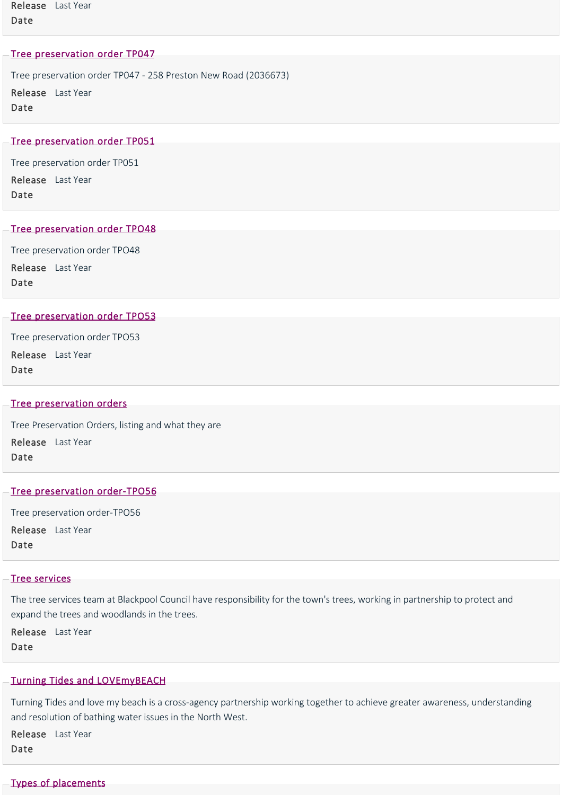Release Last Year Date

#### [Tree preservation order TP047](https://www.blackpool.gov.uk/Residents/Planning-environment-and-community/Planning/Conservation/Tree-preservation-orders/Tree-preservation-order-TP047.aspx)

Tree preservation order TP047 ‐ 258 Preston New Road (2036673) Release Last Year Date

## [Tree preservation order TP051](https://www.blackpool.gov.uk/Residents/Planning-environment-and-community/Planning/Conservation/Tree-preservation-orders/Tree-preservation-order-TP051.aspx)

Tree preservation order TP051 Release Last Year Date

#### [Tree preservation order TPO48](https://www.blackpool.gov.uk/Residents/Planning-environment-and-community/Planning/Conservation/Tree-preservation-orders/Tree-preservation-order-TPO48.aspx)

Tree preservation order TPO48 Release Last Year Date

#### [Tree preservation order TPO53](https://www.blackpool.gov.uk/Residents/Planning-environment-and-community/Planning/Conservation/Tree-preservation-orders/Tree-preservation-order-TPO53.aspx)

Tree preservation order TPO53

Release Last Year Date

# [Tree preservation orders](https://www.blackpool.gov.uk/Residents/Planning-environment-and-community/Planning/Conservation/Tree-preservation-orders.aspx)

Tree Preservation Orders, listing and what they are Release Last Year Date

## Tree preservation order-TPO56

Tree preservation order‐TPO56 Release Last Year Date

## [Tree services](https://www.blackpool.gov.uk/Residents/Planning-environment-and-community/Environmental/Tree-services.aspx)

The tree services team at Blackpool Council have responsibility for the town's trees, working in partnership to protect and expand the trees and woodlands in the trees.

Release Last Year Date

## [Turning Tides and LOVEmyBEACH](https://www.blackpool.gov.uk/Your-Council/Creating-a-better-Blackpool/Regeneration/Coastal-and-water-improvements/Turning-Tides.aspx)

Turning Tides and love my beach is a cross‐agency partnership working together to achieve greater awareness, understanding and resolution of bathing water issues in the North West.

Release Last Year Date